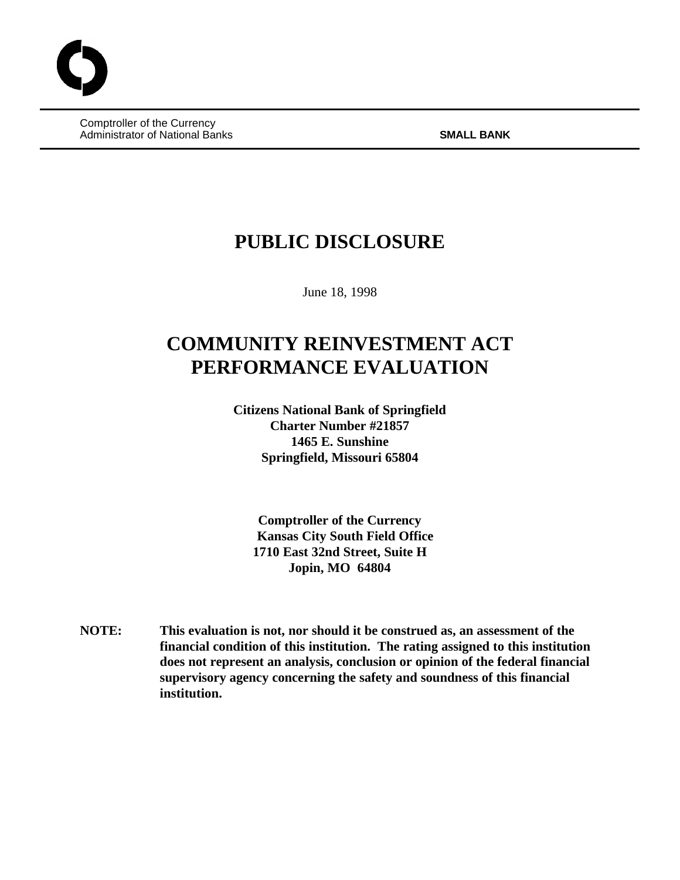Comptroller of the Currency Administrator of National Banks **SMALL BANK**

# **PUBLIC DISCLOSURE**

June 18, 1998

# **COMMUNITY REINVESTMENT ACT PERFORMANCE EVALUATION**

**Citizens National Bank of Springfield Charter Number #21857 1465 E. Sunshine Springfield, Missouri 65804**

**Comptroller of the Currency Kansas City South Field Office 1710 East 32nd Street, Suite H Jopin, MO 64804**

**NOTE: This evaluation is not, nor should it be construed as, an assessment of the financial condition of this institution. The rating assigned to this institution does not represent an analysis, conclusion or opinion of the federal financial supervisory agency concerning the safety and soundness of this financial institution.**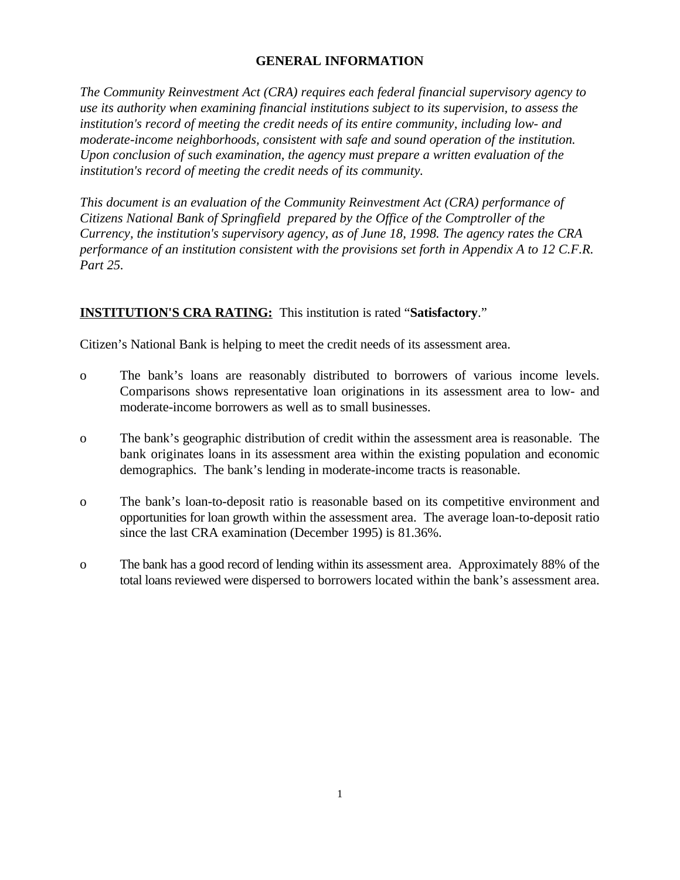## **GENERAL INFORMATION**

*The Community Reinvestment Act (CRA) requires each federal financial supervisory agency to use its authority when examining financial institutions subject to its supervision, to assess the institution's record of meeting the credit needs of its entire community, including low- and moderate-income neighborhoods, consistent with safe and sound operation of the institution. Upon conclusion of such examination, the agency must prepare a written evaluation of the institution's record of meeting the credit needs of its community.* 

*This document is an evaluation of the Community Reinvestment Act (CRA) performance of Citizens National Bank of Springfield prepared by the Office of the Comptroller of the Currency, the institution's supervisory agency, as of June 18, 1998. The agency rates the CRA performance of an institution consistent with the provisions set forth in Appendix A to 12 C.F.R. Part 25.*

### **INSTITUTION'S CRA RATING:** This institution is rated "**Satisfactory**."

Citizen's National Bank is helping to meet the credit needs of its assessment area.

- o The bank's loans are reasonably distributed to borrowers of various income levels. Comparisons shows representative loan originations in its assessment area to low- and moderate-income borrowers as well as to small businesses.
- o The bank's geographic distribution of credit within the assessment area is reasonable. The bank originates loans in its assessment area within the existing population and economic demographics. The bank's lending in moderate-income tracts is reasonable.
- o The bank's loan-to-deposit ratio is reasonable based on its competitive environment and opportunities for loan growth within the assessment area. The average loan-to-deposit ratio since the last CRA examination (December 1995) is 81.36%.
- o The bank has a good record of lending within its assessment area. Approximately 88% of the total loans reviewed were dispersed to borrowers located within the bank's assessment area.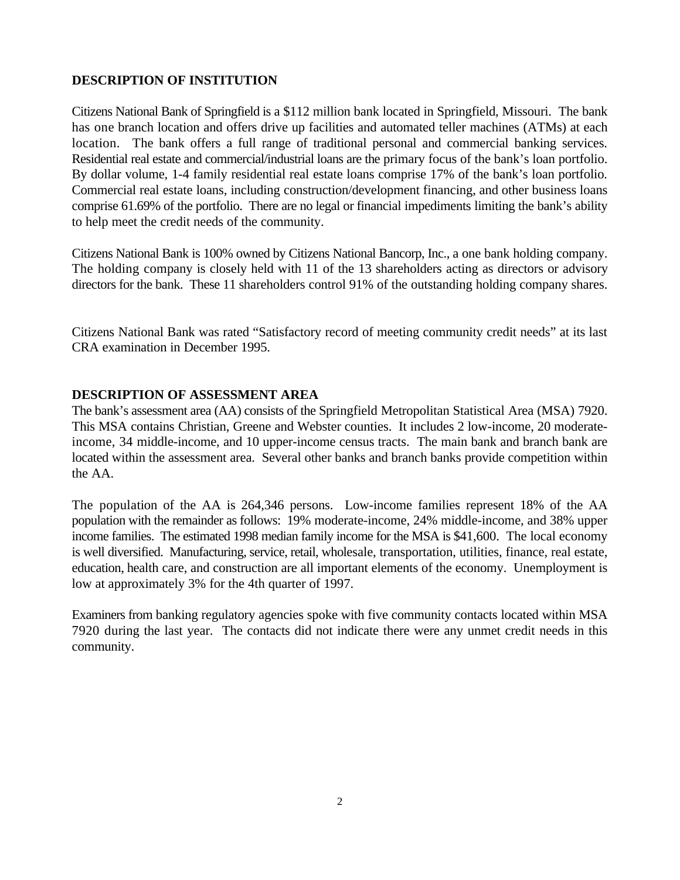## **DESCRIPTION OF INSTITUTION**

Citizens National Bank of Springfield is a \$112 million bank located in Springfield, Missouri. The bank has one branch location and offers drive up facilities and automated teller machines (ATMs) at each location. The bank offers a full range of traditional personal and commercial banking services. Residential real estate and commercial/industrial loans are the primary focus of the bank's loan portfolio. By dollar volume, 1-4 family residential real estate loans comprise 17% of the bank's loan portfolio. Commercial real estate loans, including construction/development financing, and other business loans comprise 61.69% of the portfolio. There are no legal or financial impediments limiting the bank's ability to help meet the credit needs of the community.

Citizens National Bank is 100% owned by Citizens National Bancorp, Inc., a one bank holding company. The holding company is closely held with 11 of the 13 shareholders acting as directors or advisory directors for the bank. These 11 shareholders control 91% of the outstanding holding company shares.

Citizens National Bank was rated "Satisfactory record of meeting community credit needs" at its last CRA examination in December 1995.

### **DESCRIPTION OF ASSESSMENT AREA**

The bank's assessment area (AA) consists of the Springfield Metropolitan Statistical Area (MSA) 7920. This MSA contains Christian, Greene and Webster counties. It includes 2 low-income, 20 moderateincome, 34 middle-income, and 10 upper-income census tracts. The main bank and branch bank are located within the assessment area. Several other banks and branch banks provide competition within the AA.

The population of the AA is 264,346 persons. Low-income families represent 18% of the AA population with the remainder as follows: 19% moderate-income, 24% middle-income, and 38% upper income families. The estimated 1998 median family income for the MSA is \$41,600. The local economy is well diversified. Manufacturing, service, retail, wholesale, transportation, utilities, finance, real estate, education, health care, and construction are all important elements of the economy. Unemployment is low at approximately 3% for the 4th quarter of 1997.

Examiners from banking regulatory agencies spoke with five community contacts located within MSA 7920 during the last year. The contacts did not indicate there were any unmet credit needs in this community.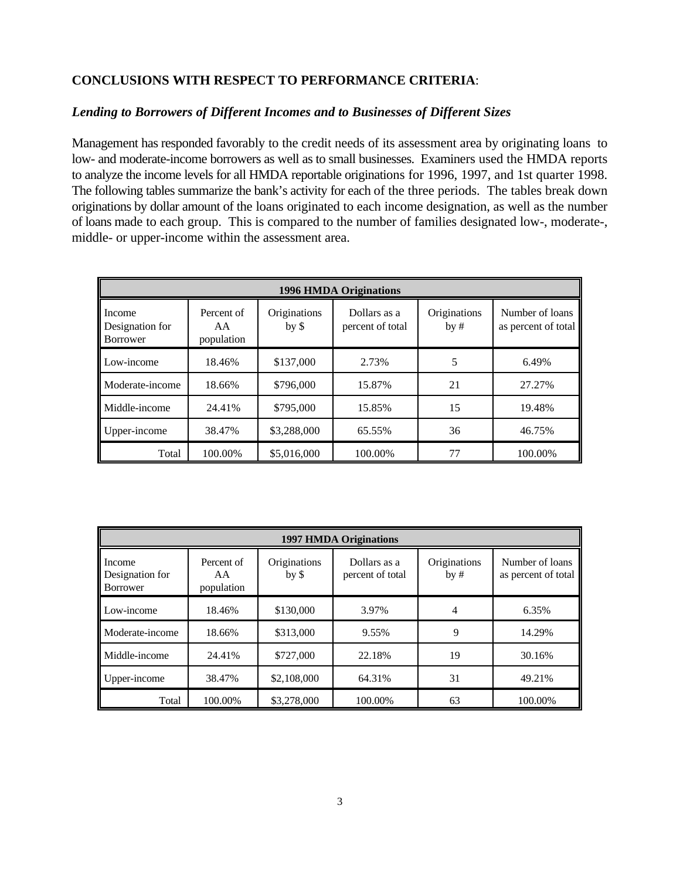#### **CONCLUSIONS WITH RESPECT TO PERFORMANCE CRITERIA**:

#### *Lending to Borrowers of Different Incomes and to Businesses of Different Sizes*

Management has responded favorably to the credit needs of its assessment area by originating loans to low- and moderate-income borrowers as well as to small businesses. Examiners used the HMDA reports to analyze the income levels for all HMDA reportable originations for 1996, 1997, and 1st quarter 1998. The following tables summarize the bank's activity for each of the three periods. The tables break down originations by dollar amount of the loans originated to each income designation, as well as the number of loans made to each group. This is compared to the number of families designated low-, moderate-, middle- or upper-income within the assessment area.

| <b>1996 HMDA Originations</b>                |                                |                         |                                  |                     |                                        |
|----------------------------------------------|--------------------------------|-------------------------|----------------------------------|---------------------|----------------------------------------|
| Income<br>Designation for<br><b>Borrower</b> | Percent of<br>AA<br>population | Originations<br>$by$ \$ | Dollars as a<br>percent of total | Originations<br>by# | Number of loans<br>as percent of total |
| Low-income                                   | 18.46%                         | \$137,000               | 2.73%                            | 5                   | 6.49%                                  |
| Moderate-income                              | 18.66%                         | \$796,000               | 15.87%                           | 21                  | 27.27%                                 |
| Middle-income                                | 24.41%                         | \$795,000               | 15.85%                           | 15                  | 19.48%                                 |
| Upper-income                                 | 38.47%                         | \$3,288,000             | 65.55%                           | 36                  | 46.75%                                 |
| Total                                        | 100.00%                        | \$5,016,000             | 100.00%                          | 77                  | 100.00%                                |

| <b>1997 HMDA Originations</b>         |                                |                         |                                  |                     |                                        |
|---------------------------------------|--------------------------------|-------------------------|----------------------------------|---------------------|----------------------------------------|
| Income<br>Designation for<br>Borrower | Percent of<br>AA<br>population | Originations<br>$by$ \$ | Dollars as a<br>percent of total | Originations<br>by# | Number of loans<br>as percent of total |
| Low-income                            | 18.46%                         | \$130,000               | 3.97%                            | 4                   | 6.35%                                  |
| Moderate-income                       | 18.66%                         | \$313,000               | 9.55%                            | 9                   | 14.29%                                 |
| Middle-income                         | 24.41%                         | \$727,000               | 22.18%                           | 19                  | 30.16%                                 |
| Upper-income                          | 38.47%                         | \$2,108,000             | 64.31%                           | 31                  | 49.21%                                 |
| Total                                 | 100.00%                        | \$3,278,000             | 100.00%                          | 63                  | 100.00%                                |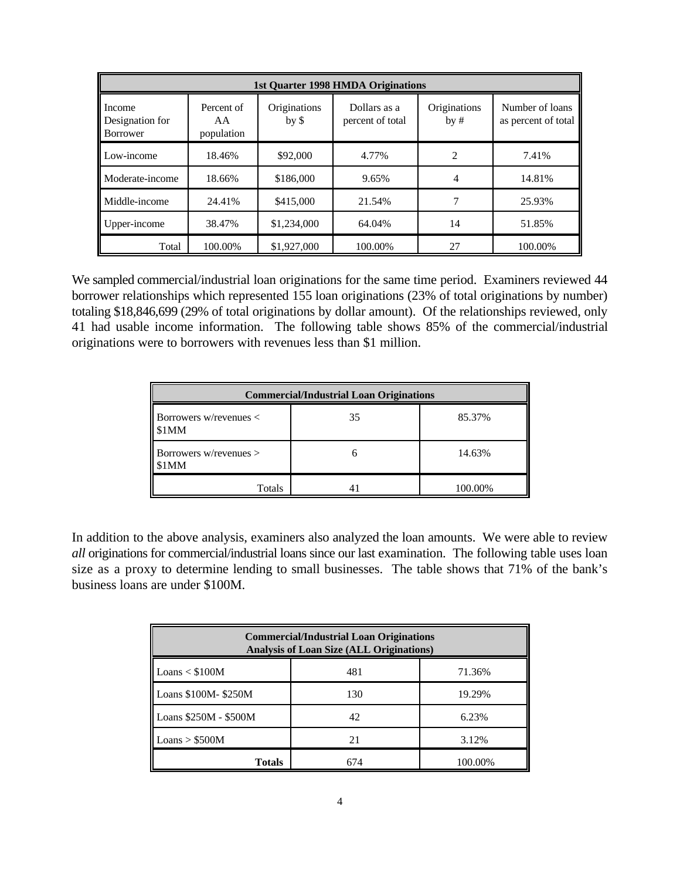| <b>1st Quarter 1998 HMDA Originations</b>    |                                |                                 |                                  |                     |                                        |
|----------------------------------------------|--------------------------------|---------------------------------|----------------------------------|---------------------|----------------------------------------|
| Income<br>Designation for<br><b>Borrower</b> | Percent of<br>AA<br>population | Originations<br>by <sub>5</sub> | Dollars as a<br>percent of total | Originations<br>by# | Number of loans<br>as percent of total |
| Low-income                                   | 18.46%                         | \$92,000                        | 4.77%                            | $\mathfrak{D}$      | 7.41%                                  |
| Moderate-income                              | 18.66%                         | \$186,000                       | 9.65%                            | 4                   | 14.81%                                 |
| Middle-income                                | 24.41%                         | \$415,000                       | 21.54%                           |                     | 25.93%                                 |
| Upper-income                                 | 38.47%                         | \$1,234,000                     | 64.04%                           | 14                  | 51.85%                                 |
| Total                                        | 100.00%                        | \$1,927,000                     | 100.00%                          | 27                  | 100.00%                                |

We sampled commercial/industrial loan originations for the same time period. Examiners reviewed 44 borrower relationships which represented 155 loan originations (23% of total originations by number) totaling \$18,846,699 (29% of total originations by dollar amount). Of the relationships reviewed, only 41 had usable income information. The following table shows 85% of the commercial/industrial originations were to borrowers with revenues less than \$1 million.

| <b>Commercial/Industrial Loan Originations</b>      |  |         |  |  |  |
|-----------------------------------------------------|--|---------|--|--|--|
| Borrowers w/revenues $\lt$<br>85.37%<br>35<br>\$1MM |  |         |  |  |  |
| Borrowers w/revenues $>$<br>1MM                     |  | 14.63%  |  |  |  |
| Totals                                              |  | 100.00% |  |  |  |

In addition to the above analysis, examiners also analyzed the loan amounts. We were able to review *all* originations for commercial/industrial loans since our last examination. The following table uses loan size as a proxy to determine lending to small businesses. The table shows that 71% of the bank's business loans are under \$100M.

| <b>Commercial/Industrial Loan Originations</b><br><b>Analysis of Loan Size (ALL Originations)</b> |     |         |  |  |
|---------------------------------------------------------------------------------------------------|-----|---------|--|--|
| Loans < \$100M<br>481<br>71.36%                                                                   |     |         |  |  |
| Loans \$100M-\$250M                                                                               | 130 | 19.29%  |  |  |
| Loans \$250M - \$500M                                                                             | 42  | 6.23%   |  |  |
| Loans > \$500M                                                                                    | 21  | 3.12%   |  |  |
| <b>Totals</b>                                                                                     | 674 | 100.00% |  |  |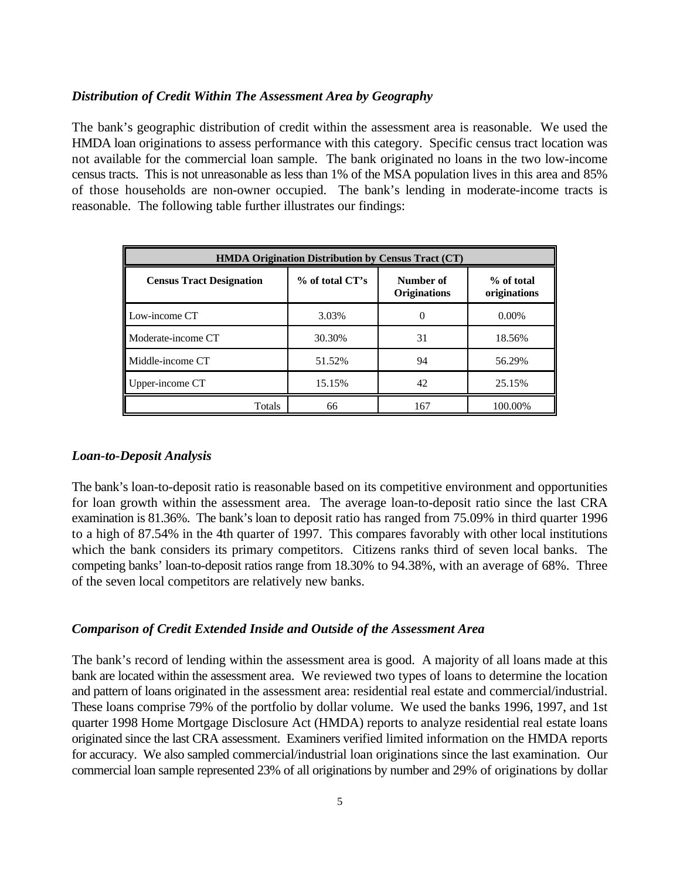#### *Distribution of Credit Within The Assessment Area by Geography*

The bank's geographic distribution of credit within the assessment area is reasonable. We used the HMDA loan originations to assess performance with this category. Specific census tract location was not available for the commercial loan sample. The bank originated no loans in the two low-income census tracts. This is not unreasonable as less than 1% of the MSA population lives in this area and 85% of those households are non-owner occupied. The bank's lending in moderate-income tracts is reasonable. The following table further illustrates our findings:

| <b>HMDA Origination Distribution by Census Tract (CT)</b> |                 |                                  |                            |  |  |
|-----------------------------------------------------------|-----------------|----------------------------------|----------------------------|--|--|
| <b>Census Tract Designation</b>                           | % of total CT's | Number of<br><b>Originations</b> | % of total<br>originations |  |  |
| Low-income CT                                             | 3.03%           | O                                | $0.00\%$                   |  |  |
| Moderate-income CT                                        | 30.30%          | 31                               | 18.56%                     |  |  |
| Middle-income CT                                          | 51.52%          | 94                               | 56.29%                     |  |  |
| Upper-income CT                                           | 15.15%          | 42                               | 25.15%                     |  |  |
| Totals                                                    | 66              | 167                              | 100.00%                    |  |  |

#### *Loan-to-Deposit Analysis*

The bank's loan-to-deposit ratio is reasonable based on its competitive environment and opportunities for loan growth within the assessment area. The average loan-to-deposit ratio since the last CRA examination is 81.36%. The bank's loan to deposit ratio has ranged from 75.09% in third quarter 1996 to a high of 87.54% in the 4th quarter of 1997. This compares favorably with other local institutions which the bank considers its primary competitors. Citizens ranks third of seven local banks. The competing banks' loan-to-deposit ratios range from 18.30% to 94.38%, with an average of 68%. Three of the seven local competitors are relatively new banks.

#### *Comparison of Credit Extended Inside and Outside of the Assessment Area*

The bank's record of lending within the assessment area is good. A majority of all loans made at this bank are located within the assessment area. We reviewed two types of loans to determine the location and pattern of loans originated in the assessment area: residential real estate and commercial/industrial. These loans comprise 79% of the portfolio by dollar volume. We used the banks 1996, 1997, and 1st quarter 1998 Home Mortgage Disclosure Act (HMDA) reports to analyze residential real estate loans originated since the last CRA assessment. Examiners verified limited information on the HMDA reports for accuracy. We also sampled commercial/industrial loan originations since the last examination. Our commercial loan sample represented 23% of all originations by number and 29% of originations by dollar